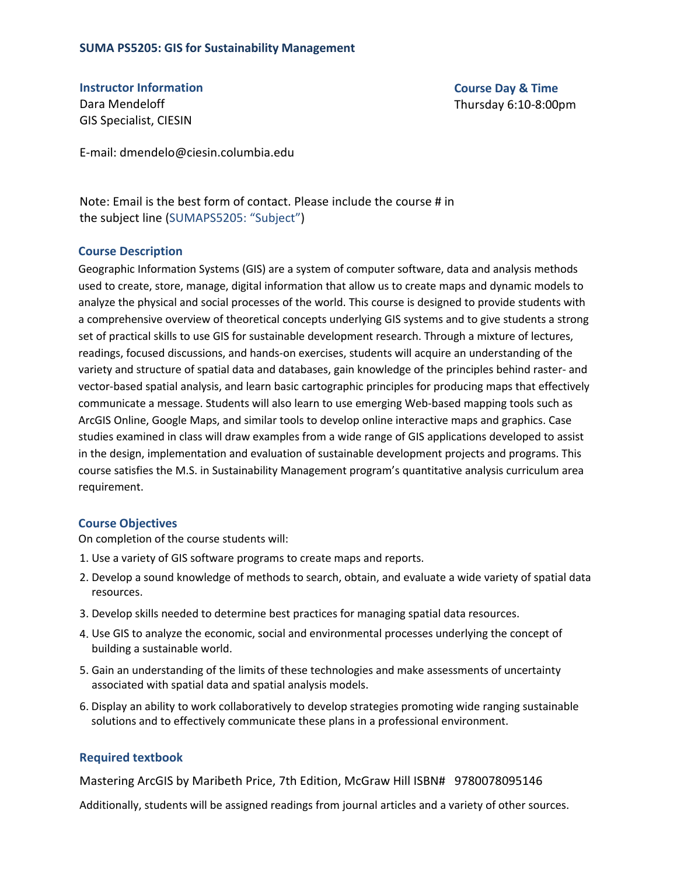# **SUMA PS5205: GIS for Sustainability Management**

**Instructor Information** Dara Mendeloff GIS Specialist, CIESIN

**Course Day & Time**  Thursday 6:10-8:00pm

E-mail: dmendelo@ciesin.columbia.edu

Note: Email is the best form of contact. Please include the course # in the subject line (SUMAPS5205: "Subject")

#### **Course Description**

Geographic Information Systems (GIS) are a system of computer software, data and analysis methods used to create, store, manage, digital information that allow us to create maps and dynamic models to analyze the physical and social processes of the world. This course is designed to provide students with a comprehensive overview of theoretical concepts underlying GIS systems and to give students a strong set of practical skills to use GIS for sustainable development research. Through a mixture of lectures, readings, focused discussions, and hands-on exercises, students will acquire an understanding of the variety and structure of spatial data and databases, gain knowledge of the principles behind raster- and vector-based spatial analysis, and learn basic cartographic principles for producing maps that effectively communicate a message. Students will also learn to use emerging Web-based mapping tools such as ArcGIS Online, Google Maps, and similar tools to develop online interactive maps and graphics. Case studies examined in class will draw examples from a wide range of GIS applications developed to assist in the design, implementation and evaluation of sustainable development projects and programs. This course satisfies the M.S. in Sustainability Management program's quantitative analysis curriculum area requirement.

# **Course Objectives**

On completion of the course students will:

- 1. Use a variety of GIS software programs to create maps and reports.
- 2. Develop a sound knowledge of methods to search, obtain, and evaluate a wide variety of spatial data resources.
- 3. Develop skills needed to determine best practices for managing spatial data resources.
- 4. Use GIS to analyze the economic, social and environmental processes underlying the concept of building a sustainable world.
- 5. Gain an understanding of the limits of these technologies and make assessments of uncertainty associated with spatial data and spatial analysis models.
- 6. Display an ability to work collaboratively to develop strategies promoting wide ranging sustainable solutions and to effectively communicate these plans in a professional environment.

# **Required textbook**

Mastering ArcGIS by Maribeth Price, 7th Edition, McGraw Hill ISBN# 9780078095146

Additionally, students will be assigned readings from journal articles and a variety of other sources.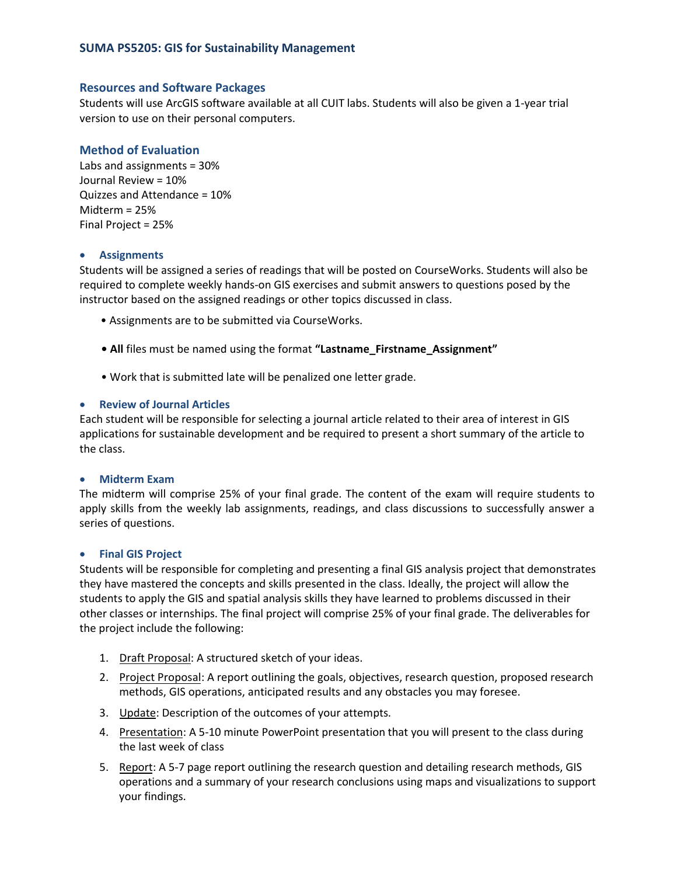## **Resources and Software Packages**

Students will use ArcGIS software available at all CUIT labs. Students will also be given a 1-year trial version to use on their personal computers.

# **Method of Evaluation**

Labs and assignments = 30% Journal Review = 10% Quizzes and Attendance = 10% Midterm = 25% Final Project = 25%

## • **Assignments**

Students will be assigned a series of readings that will be posted on CourseWorks. Students will also be required to complete weekly hands-on GIS exercises and submit answers to questions posed by the instructor based on the assigned readings or other topics discussed in class.

- Assignments are to be submitted via CourseWorks.
- **• All** files must be named using the format **"Lastname\_Firstname\_Assignment"**
- Work that is submitted late will be penalized one letter grade.

## • **Review of Journal Articles**

Each student will be responsible for selecting a journal article related to their area of interest in GIS applications for sustainable development and be required to present a short summary of the article to the class.

#### • **Midterm Exam**

The midterm will comprise 25% of your final grade. The content of the exam will require students to apply skills from the weekly lab assignments, readings, and class discussions to successfully answer a series of questions.

#### • **Final GIS Project**

Students will be responsible for completing and presenting a final GIS analysis project that demonstrates they have mastered the concepts and skills presented in the class. Ideally, the project will allow the students to apply the GIS and spatial analysis skills they have learned to problems discussed in their other classes or internships. The final project will comprise 25% of your final grade. The deliverables for the project include the following:

- 1. Draft Proposal: A structured sketch of your ideas.
- 2. Project Proposal: A report outlining the goals, objectives, research question, proposed research methods, GIS operations, anticipated results and any obstacles you may foresee.
- 3. Update: Description of the outcomes of your attempts.
- 4. Presentation: A 5-10 minute PowerPoint presentation that you will present to the class during the last week of class
- 5. Report: A 5-7 page report outlining the research question and detailing research methods, GIS operations and a summary of your research conclusions using maps and visualizations to support your findings.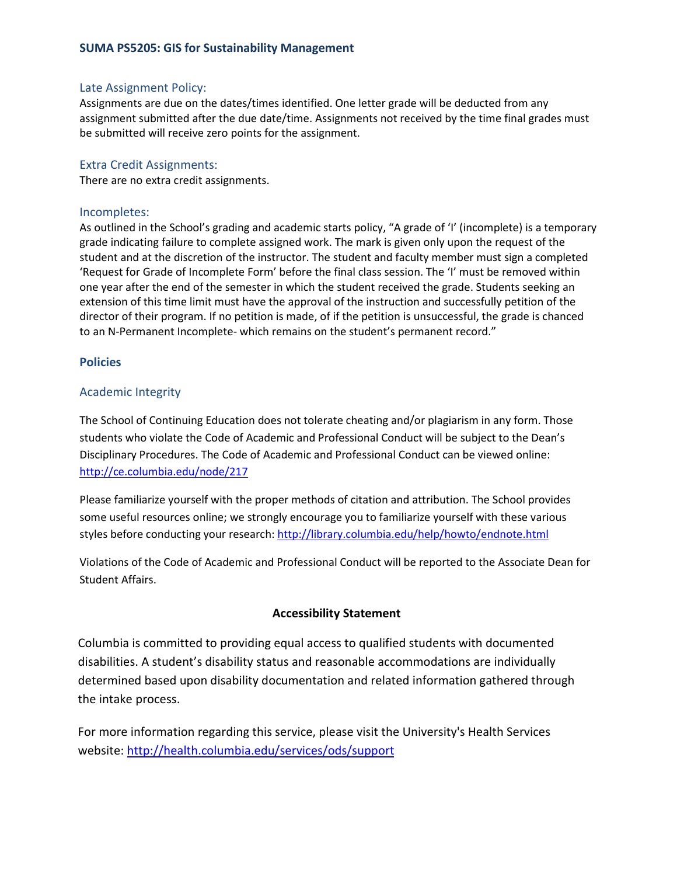# **SUMA PS5205: GIS for Sustainability Management**

## Late Assignment Policy:

Assignments are due on the dates/times identified. One letter grade will be deducted from any assignment submitted after the due date/time. Assignments not received by the time final grades must be submitted will receive zero points for the assignment.

## Extra Credit Assignments:

There are no extra credit assignments.

## Incompletes:

As outlined in the School's grading and academic starts policy, "A grade of 'I' (incomplete) is a temporary grade indicating failure to complete assigned work. The mark is given only upon the request of the student and at the discretion of the instructor. The student and faculty member must sign a completed 'Request for Grade of Incomplete Form' before the final class session. The 'I' must be removed within one year after the end of the semester in which the student received the grade. Students seeking an extension of this time limit must have the approval of the instruction and successfully petition of the director of their program. If no petition is made, of if the petition is unsuccessful, the grade is chanced to an N-Permanent Incomplete- which remains on the student's permanent record."

## **Policies**

# Academic Integrity

The School of Continuing Education does not tolerate cheating and/or plagiarism in any form. Those students who violate the Code of Academic and Professional Conduct will be subject to the Dean's Disciplinary Procedures. The Code of Academic and Professional Conduct can be viewed online: <http://ce.columbia.edu/node/217>

Please familiarize yourself with the proper methods of citation and attribution. The School provides some useful resources online; we strongly encourage you to familiarize yourself with these various styles before conducting your research:<http://library.columbia.edu/help/howto/endnote.html>

Violations of the Code of Academic and Professional Conduct will be reported to the Associate Dean for Student Affairs.

# **Accessibility Statement**

Columbia is committed to providing equal access to qualified students with documented disabilities. A student's disability status and reasonable accommodations are individually determined based upon disability documentation and related information gathered through the intake process.

For more information regarding this service, please visit the University's Health Services website: http://health.columbia.edu/services/ods/support